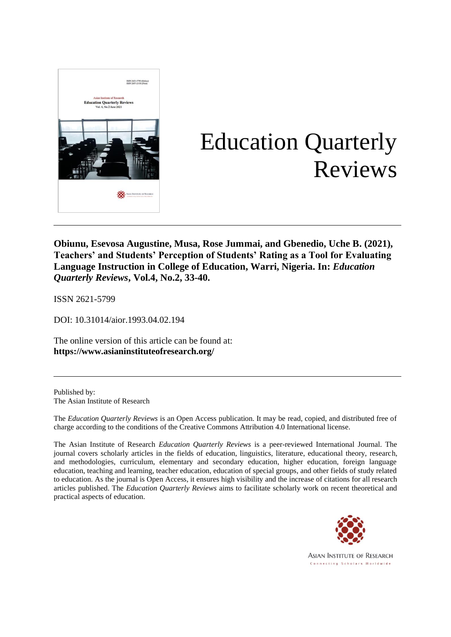

# Education Quarterly Reviews

**Obiunu, Esevosa Augustine, Musa, Rose Jummai, and Gbenedio, Uche B. (2021), Teachers' and Students' Perception of Students' Rating as a Tool for Evaluating Language Instruction in College of Education, Warri, Nigeria. In:** *Education Quarterly Reviews***, Vol.4, No.2, 33-40.**

ISSN 2621-5799

DOI: 10.31014/aior.1993.04.02.194

The online version of this article can be found at: **[https://www.](about:blank)asianinstituteofresearch.org/**

Published by: The Asian Institute of Research

The *Education Quarterly Reviews* is an Open Access publication. It may be read, copied, and distributed free of charge according to the conditions of the Creative Commons Attribution 4.0 International license.

The Asian Institute of Research *Education Quarterly Reviews* is a peer-reviewed International Journal. The journal covers scholarly articles in the fields of education, linguistics, literature, educational theory, research, and methodologies, curriculum, elementary and secondary education, higher education, foreign language education, teaching and learning, teacher education, education of special groups, and other fields of study related to education. As the journal is Open Access, it ensures high visibility and the increase of citations for all research articles published. The *Education Quarterly Reviews* aims to facilitate scholarly work on recent theoretical and practical aspects of education.

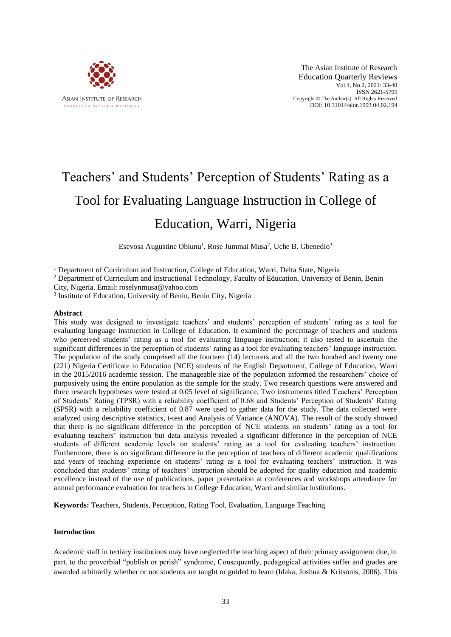

# Teachers' and Students' Perception of Students' Rating as a Tool for Evaluating Language Instruction in College of Education, Warri, Nigeria

Esevosa Augustine Obiunu<sup>1</sup>, Rose Jummai Musa<sup>2</sup>, Uche B. Gbenedio<sup>3</sup>

<sup>1</sup> Department of Curriculum and Instruction, College of Education, Warri, Delta State, Nigeria

<sup>2</sup> Department of Curriculum and Instructional Technology, Faculty of Education, University of Benin, Benin

City, Nigeria. Email: roselynmusa@yahoo.com

<sup>3</sup> Institute of Education, University of Benin, Benin City, Nigeria

#### **Abstract**

This study was designed to investigate teachers' and students' perception of students' rating as a tool for evaluating language instruction in College of Education. It examined the percentage of teachers and students who perceived students' rating as a tool for evaluating language instruction; it also tested to ascertain the significant differences in the perception of students' rating as a tool for evaluating teachers' language instruction. The population of the study comprised all the fourteen (14) lecturers and all the two hundred and twenty one (221) Nigeria Certificate in Education (NCE) students of the English Department, College of Education, Warri in the 2015/2016 academic session. The manageable size of the population informed the researchers' choice of purposively using the entire population as the sample for the study. Two research questions were answered and three research hypotheses were tested at 0.05 level of significance. Two instruments titled Teachers' Perception of Students' Rating (TPSR) with a reliability coefficient of 0.68 and Students' Perception of Students' Rating (SPSR) with a reliability coefficient of 0.87 were used to gather data for the study. The data collected were analyzed using descriptive statistics, t-test and Analysis of Variance (ANOVA). The result of the study showed that there is no significant difference in the perception of NCE students on students' rating as a tool for evaluating teachers' instruction but data analysis revealed a significant difference in the perception of NCE students of different academic levels on students' rating as a tool for evaluating teachers' instruction. Furthermore, there is no significant difference in the perception of teachers of different academic qualifications and years of teaching experience on students' rating as a tool for evaluating teachers' instruction. It was concluded that students' rating of teachers' instruction should be adopted for quality education and academic excellence instead of the use of publications, paper presentation at conferences and workshops attendance for annual performance evaluation for teachers in College Education, Warri and similar institutions.

**Keywords:** Teachers, Students, Perception, Rating Tool, Evaluation, Language Teaching

#### **Introduction**

Academic staff in tertiary institutions may have neglected the teaching aspect of their primary assignment due, in part, to the proverbial "publish or perish" syndrome, Consequently, pedagogical activities suffer and grades are awarded arbitrarily whether or not students are taught or guided to learn (Idaka, Joshua & Kritsonis, 2006). This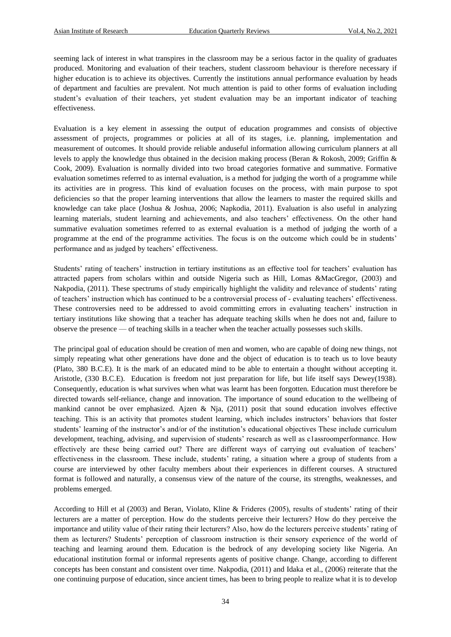seeming lack of interest in what transpires in the classroom may be a serious factor in the quality of graduates produced. Monitoring and evaluation of their teachers, student classroom behaviour is therefore necessary if higher education is to achieve its objectives. Currently the institutions annual performance evaluation by heads of department and faculties are prevalent. Not much attention is paid to other forms of evaluation including student's evaluation of their teachers, yet student evaluation may be an important indicator of teaching effectiveness.

Evaluation is a key element in assessing the output of education programmes and consists of objective assessment of projects, programmes or policies at all of its stages, i.e. planning, implementation and measurement of outcomes. It should provide reliable anduseful information allowing curriculum planners at all levels to apply the knowledge thus obtained in the decision making process (Beran & Rokosh, 2009; Griffin & Cook, 2009). Evaluation is normally divided into two broad categories formative and summative. Formative evaluation sometimes referred to as internal evaluation, is a method for judging the worth of a programme while its activities are in progress. This kind of evaluation focuses on the process, with main purpose to spot deficiencies so that the proper learning interventions that allow the learners to master the required skills and knowledge can take place (Joshua & Joshua, 2006; Napkodia, 2011). Evaluation is also useful in analyzing learning materials, student learning and achievements, and also teachers' effectiveness. On the other hand summative evaluation sometimes referred to as external evaluation is a method of judging the worth of a programme at the end of the programme activities. The focus is on the outcome which could be in students' performance and as judged by teachers' effectiveness.

Students' rating of teachers' instruction in tertiary institutions as an effective tool for teachers' evaluation has attracted papers from scholars within and outside Nigeria such as Hill, Lomas &MacGregor, (2003) and Nakpodia, (2011). These spectrums of study empirically highlight the validity and relevance of students' rating of teachers' instruction which has continued to be a controversial process of - evaluating teachers' effectiveness. These controversies need to be addressed to avoid committing errors in evaluating teachers' instruction in tertiary institutions like showing that a teacher has adequate teaching skills when he does not and, failure to observe the presence — of teaching skills in a teacher when the teacher actually possesses such skills.

The principal goal of education should be creation of men and women, who are capable of doing new things, not simply repeating what other generations have done and the object of education is to teach us to love beauty (Plato, 380 B.C.E). It is the mark of an educated mind to be able to entertain a thought without accepting it. Aristotle, (330 B.C.E). Education is freedom not just preparation for life, but life itself says Dewey(1938). Consequently, education is what survives when what was learnt has been forgotten. Education must therefore be directed towards self-reliance, change and innovation. The importance of sound education to the wellbeing of mankind cannot be over emphasized. Ajzen & Nja, (2011) posit that sound education involves effective teaching. This is an activity that promotes student learning, which includes instructors' behaviors that foster students' learning of the instructor's and/or of the institution's educational objectives These include curriculum development, teaching, advising, and supervision of students' research as well as c1assroomperformance. How effectively are these being carried out? There are different ways of carrying out evaluation of teachers' effectiveness in the classroom. These include, students' rating, a situation where a group of students from a course are interviewed by other faculty members about their experiences in different courses. A structured format is followed and naturally, a consensus view of the nature of the course, its strengths, weaknesses, and problems emerged.

According to Hill et al (2003) and Beran, Violato, Kline & Frideres (2005), results of students' rating of their lecturers are a matter of perception. How do the students perceive their lecturers? How do they perceive the importance and utility value of their rating their lecturers? Also, how do the lecturers perceive students' rating of them as lecturers? Students' perception of classroom instruction is their sensory experience of the world of teaching and learning around them. Education is the bedrock of any developing society like Nigeria. An educational institution formal or informal represents agents of positive change. Change, according to different concepts has been constant and consistent over time. Nakpodia, (2011) and Idaka et al., (2006) reiterate that the one continuing purpose of education, since ancient times, has been to bring people to realize what it is to develop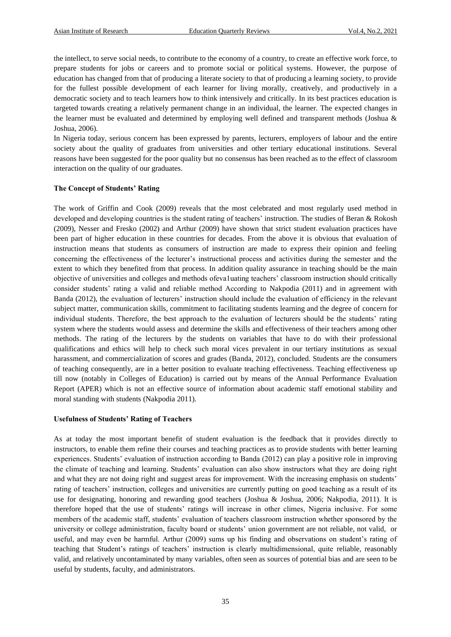the intellect, to serve social needs, to contribute to the economy of a country, to create an effective work force, to prepare students for jobs or careers and to promote social or political systems. However, the purpose of education has changed from that of producing a literate society to that of producing a learning society, to provide for the fullest possible development of each learner for living morally, creatively, and productively in a democratic society and to teach learners how to think intensively and critically. In its best practices education is targeted towards creating a relatively permanent change in an individual, the learner. The expected changes in the learner must be evaluated and determined by employing well defined and transparent methods (Joshua & Joshua, 2006).

In Nigeria today, serious concern has been expressed by parents, lecturers, employers of labour and the entire society about the quality of graduates from universities and other tertiary educational institutions. Several reasons have been suggested for the poor quality but no consensus has been reached as to the effect of classroom interaction on the quality of our graduates.

#### **The Concept of Students' Rating**

The work of Griffin and Cook (2009) reveals that the most celebrated and most regularly used method in developed and developing countries is the student rating of teachers' instruction. The studies of Beran & Rokosh (2009), Nesser and Fresko (2002) and Arthur (2009) have shown that strict student evaluation practices have been part of higher education in these countries for decades. From the above it is obvious that evaluation of instruction means that students as consumers of instruction are made to express their opinion and feeling concerning the effectiveness of the lecturer's instructional process and activities during the semester and the extent to which they benefited from that process. In addition quality assurance in teaching should be the main objective of universities and colleges and methods ofeva1uating teachers' classroom instruction should critically consider students' rating a valid and reliable method According to Nakpodia (2011) and in agreement with Banda (2012), the evaluation of lecturers' instruction should include the evaluation of efficiency in the relevant subject matter, communication skills, commitment to facilitating students learning and the degree of concern for individual students. Therefore, the best approach to the evaluation of lecturers should be the students' rating system where the students would assess and determine the skills and effectiveness of their teachers among other methods. The rating of the lecturers by the students on variables that have to do with their professional qualifications and ethics will help to check such moral vices prevalent in our tertiary institutions as sexual harassment, and commercialization of scores and grades (Banda, 2012), concluded. Students are the consumers of teaching consequently, are in a better position to evaluate teaching effectiveness. Teaching effectiveness up till now (notably in Colleges of Education) is carried out by means of the Annual Performance Evaluation Report (APER) which is not an effective source of information about academic staff emotional stability and moral standing with students (Nakpodia 2011).

#### **Usefulness of Students' Rating of Teachers**

As at today the most important benefit of student evaluation is the feedback that it provides directly to instructors, to enable them refine their courses and teaching practices as to provide students with better learning experiences. Students' evaluation of instruction according to Banda (2012) can play a positive role in improving the climate of teaching and learning. Students' evaluation can also show instructors what they are doing right and what they are not doing right and suggest areas for improvement. With the increasing emphasis on students' rating of teachers' instruction, colleges and universities are currently putting on good teaching as a result of its use for designating, honoring and rewarding good teachers (Joshua & Joshua, 2006; Nakpodia, 2011). It is therefore hoped that the use of students' ratings will increase in other climes, Nigeria inclusive. For some members of the academic staff, students' evaluation of teachers classroom instruction whether sponsored by the university or college administration, faculty board or students' union government are not reliable, not valid, or useful, and may even be harmful. Arthur (2009) sums up his finding and observations on student's rating of teaching that Student's ratings of teachers' instruction is clearly multidimensional, quite reliable, reasonably valid, and relatively uncontaminated by many variables, often seen as sources of potential bias and are seen to be useful by students, faculty, and administrators.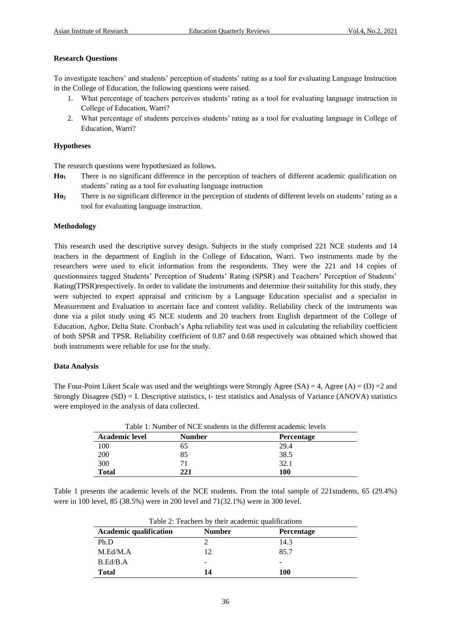### **Research Questions**

To investigate teachers' and students' perception of students' rating as a tool for evaluating Language Instruction in the College of Education, the following questions were raised.

- 1. What percentage of teachers perceives students' rating as a tool for evaluating language instruction in College of Education, Warri?
- 2. What percentage of students perceives students' rating as a tool for evaluating language in College of Education, Warri?

#### **Hypotheses**

The research questions were hypothesized as follows.

- **Ho<sup>1</sup>** There is no significant difference in the perception of teachers of different academic qualification on students' rating as a tool for evaluating language instruction
- **Ho<sup>2</sup>** There is no significant difference in the perception of students of different levels on students' rating as a tool for evaluating language instruction.

#### **Methodology**

This research used the descriptive survey design. Subjects in the study comprised 221 NCE students and 14 teachers in the department of English in the College of Education, Warri. Two instruments made by the researchers were used to elicit information from the respondents. They were the 221 and 14 copies of questionnaires tagged Students' Perception of Students' Rating (SPSR) and Teachers' Perception of Students' Rating(TPSR)respectively. In order to validate the instruments and determine their suitability for this study, they were subjected to expert appraisal and criticism by a Language Education specialist and a specialist in Measurement and Evaluation to ascertain face and content validity. Reliability check of the instruments was done via a pilot study using 45 NCE students and 20 teachers from English department of the College of Education, Agbor, Delta State. Cronbach's Apha reliability test was used in calculating the reliability coefficient of both SPSR and TPSR. Reliability coefficient of 0.87 and 0.68 respectively was obtained which showed that both instruments were reliable for use for the study.

#### **Data Analysis**

The Four-Point Likert Scale was used and the weightings were Strongly Agree  $(S_A) = 4$ , Agree  $(A) = (D) = 2$  and Strongly Disagree (SD) = I. Descriptive statistics, t- test statistics and Analysis of Variance (ANOVA) statistics were employed in the analysis of data collected.

| Table 1: Number of NCE students in the different academic levels |        |                   |  |  |
|------------------------------------------------------------------|--------|-------------------|--|--|
| <b>Academic level</b>                                            | Number | <b>Percentage</b> |  |  |
| 100                                                              | 65     | 29.4              |  |  |
| 200                                                              | 85     | 38.5              |  |  |
| 300                                                              | 71     | 32.1              |  |  |
| <b>Total</b>                                                     | 221    | 100               |  |  |

Table 1 presents the academic levels of the NCE students. From the total sample of 221students, 65 (29.4%) were in 100 level, 85 (38.5%) were in 200 level and 71(32.1%) were in 300 level.

| Table 2: Teachers by their academic qualifications                  |    |      |  |  |  |
|---------------------------------------------------------------------|----|------|--|--|--|
| <b>Academic qualification</b><br><b>Number</b><br><b>Percentage</b> |    |      |  |  |  |
| Ph.D                                                                |    | 14.3 |  |  |  |
| M.Ed/M.A                                                            | 12 | 85.7 |  |  |  |
| B.Ed/B.A                                                            |    |      |  |  |  |
| <b>Total</b>                                                        | 14 | 100  |  |  |  |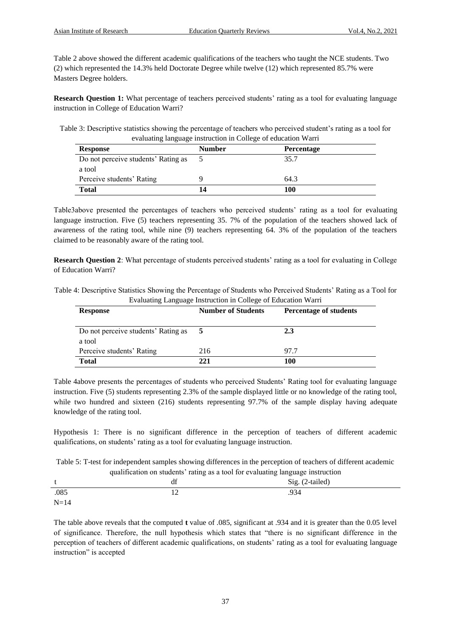Table 2 above showed the different academic qualifications of the teachers who taught the NCE students. Two (2) which represented the 14.3% held Doctorate Degree while twelve (12) which represented 85.7% were Masters Degree holders.

**Research Question 1:** What percentage of teachers perceived students' rating as a tool for evaluating language instruction in College of Education Warri?

Table 3: Descriptive statistics showing the percentage of teachers who perceived student's rating as a tool for evaluating language instruction in College of education Warri

| <b>Response</b>                     | <b>Number</b> | <b>Percentage</b> |
|-------------------------------------|---------------|-------------------|
| Do not perceive students' Rating as |               | 35.7              |
| a tool                              |               |                   |
| Perceive students' Rating           |               | 64.3              |
| <b>Total</b>                        |               | 100               |

Table3above presented the percentages of teachers who perceived students' rating as a tool for evaluating language instruction. Five (5) teachers representing 35. 7% of the population of the teachers showed lack of awareness of the rating tool, while nine (9) teachers representing 64. 3% of the population of the teachers claimed to be reasonably aware of the rating tool.

**Research Question 2:** What percentage of students perceived students' rating as a tool for evaluating in College of Education Warri?

| Table 4: Descriptive Statistics Showing the Percentage of Students who Perceived Students' Rating as a Tool for |  |
|-----------------------------------------------------------------------------------------------------------------|--|
| Evaluating Language Instruction in College of Education Warri                                                   |  |

| <b>Response</b>                               | <b>Number of Students</b> | <b>Percentage of students</b> |
|-----------------------------------------------|---------------------------|-------------------------------|
| Do not perceive students' Rating as<br>a tool |                           | 2.3                           |
| Perceive students' Rating                     | 216                       | 97.7                          |
| <b>Total</b>                                  | 221                       | 100                           |

Table 4above presents the percentages of students who perceived Students' Rating tool for evaluating language instruction. Five (5) students representing 2.3% of the sample displayed little or no knowledge of the rating tool, while two hundred and sixteen (216) students representing 97.7% of the sample display having adequate knowledge of the rating tool.

Hypothesis 1: There is no significant difference in the perception of teachers of different academic qualifications, on students' rating as a tool for evaluating language instruction.

Table 5: T-test for independent samples showing differences in the perception of teachers of different academic qualification on students' rating as a tool for evaluating language instruction

|        | -<br>αr              | --<br>--<br>Sig. (2-tailed) |  |
|--------|----------------------|-----------------------------|--|
| .085   | 1 <sub>0</sub><br>⊥∠ | .934                        |  |
| $N=14$ |                      |                             |  |

The table above reveals that the computed **t** value of .085, significant at .934 and it is greater than the 0.05 level of significance. Therefore, the null hypothesis which states that "there is no significant difference in the perception of teachers of different academic qualifications, on students' rating as a tool for evaluating language instruction" is accepted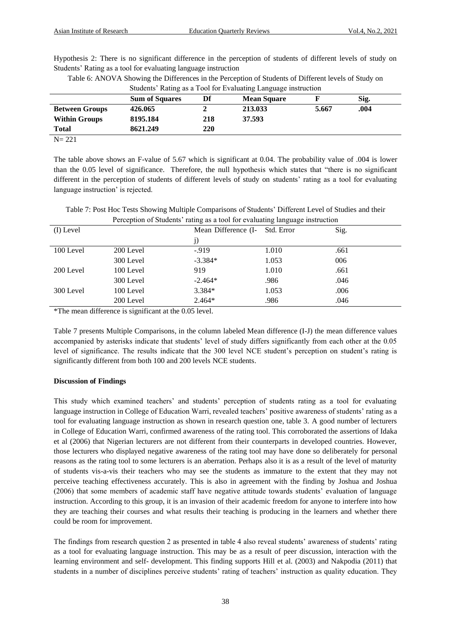Hypothesis 2: There is no significant difference in the perception of students of different levels of study on Students' Rating as a tool for evaluating language instruction

| Table 6: ANOVA Showing the Differences in the Perception of Students of Different levels of Study on |  |
|------------------------------------------------------------------------------------------------------|--|
|                                                                                                      |  |

|                       |                       |     | $\sqrt{2}$         |       |      |  |
|-----------------------|-----------------------|-----|--------------------|-------|------|--|
|                       | <b>Sum of Squares</b> | Df  | <b>Mean Square</b> |       | Sig. |  |
| <b>Between Groups</b> | 426.065               |     | 213.033            | 5.667 | .004 |  |
| <b>Within Groups</b>  | 8195.184              | 218 | 37.593             |       |      |  |
| <b>Total</b>          | 8621.249              | 220 |                    |       |      |  |
| $N = 221$             |                       |     |                    |       |      |  |

Students' Rating as a Tool for Evaluating Language instruction

The table above shows an F-value of 5.67 which is significant at 0.04. The probability value of .004 is lower than the 0.05 level of significance. Therefore, the null hypothesis which states that "there is no significant different in the perception of students of different levels of study on students' rating as a tool for evaluating language instruction' is rejected.

Table 7: Post Hoc Tests Showing Multiple Comparisons of Students' Different Level of Studies and their Perception of Students' rating as a tool for evaluating language instruction

| (I) Level |           | Mean Difference (I- Std. Error |       | Sig. |
|-----------|-----------|--------------------------------|-------|------|
|           |           | j)                             |       |      |
| 100 Level | 200 Level | $-919$                         | 1.010 | .661 |
|           | 300 Level | $-3.384*$                      | 1.053 | 006  |
| 200 Level | 100 Level | 919                            | 1.010 | .661 |
|           | 300 Level | $-2.464*$                      | .986  | .046 |
| 300 Level | 100 Level | 3.384*                         | 1.053 | .006 |
|           | 200 Level | $2.464*$                       | .986  | .046 |
|           |           |                                |       |      |

\*The mean difference is significant at the 0.05 level.

Table 7 presents Multiple Comparisons, in the column labeled Mean difference (I-J) the mean difference values accompanied by asterisks indicate that students' level of study differs significantly from each other at the 0.05 level of significance. The results indicate that the 300 level NCE student's perception on student's rating is significantly different from both 100 and 200 levels NCE students.

# **Discussion of Findings**

This study which examined teachers' and students' perception of students rating as a tool for evaluating language instruction in College of Education Warri, revealed teachers' positive awareness of students' rating as a tool for evaluating language instruction as shown in research question one, table 3. A good number of lecturers in College of Education Warri, confirmed awareness of the rating tool. This corroborated the assertions of Idaka et al (2006) that Nigerian lecturers are not different from their counterparts in developed countries. However, those lecturers who displayed negative awareness of the rating tool may have done so deliberately for personal reasons as the rating tool to some lecturers is an aberration. Perhaps also it is as a result of the level of maturity of students vis-a-vis their teachers who may see the students as immature to the extent that they may not perceive teaching effectiveness accurately. This is also in agreement with the finding by Joshua and Joshua (2006) that some members of academic staff have negative attitude towards students' evaluation of language instruction. According to this group, it is an invasion of their academic freedom for anyone to interfere into how they are teaching their courses and what results their teaching is producing in the learners and whether there could be room for improvement.

The findings from research question 2 as presented in table 4 also reveal students' awareness of students' rating as a tool for evaluating language instruction. This may be as a result of peer discussion, interaction with the learning environment and self- development. This finding supports Hill et al. (2003) and Nakpodia (2011) that students in a number of disciplines perceive students' rating of teachers' instruction as quality education. They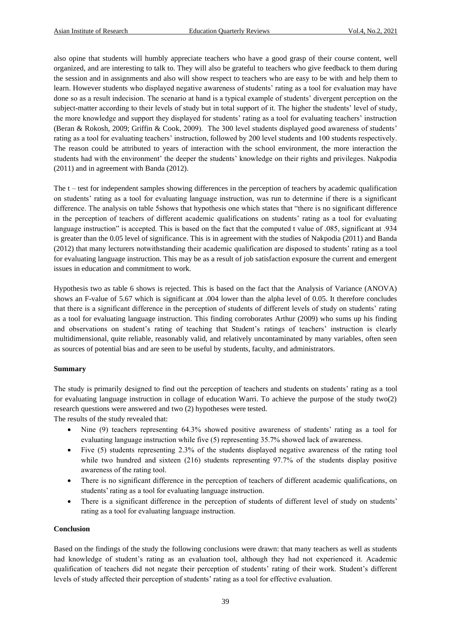also opine that students will humbly appreciate teachers who have a good grasp of their course content, well organized, and are interesting to talk to. They will also be grateful to teachers who give feedback to them during the session and in assignments and also will show respect to teachers who are easy to be with and help them to learn. However students who displayed negative awareness of students' rating as a tool for evaluation may have done so as a result indecision. The scenario at hand is a typical example of students' divergent perception on the subject-matter according to their levels of study but in total support of it. The higher the students' level of study, the more knowledge and support they displayed for students' rating as a tool for evaluating teachers' instruction (Beran & Rokosh, 2009; Griffin & Cook, 2009). The 300 level students displayed good awareness of students' rating as a tool for evaluating teachers' instruction, followed by 200 level students and 100 students respectively. The reason could be attributed to years of interaction with the school environment, the more interaction the students had with the environment' the deeper the students' knowledge on their rights and privileges. Nakpodia (2011) and in agreement with Banda (2012).

The t – test for independent samples showing differences in the perception of teachers by academic qualification on students' rating as a tool for evaluating language instruction, was run to determine if there is a significant difference. The analysis on table 5shows that hypothesis one which states that "there is no significant difference in the perception of teachers of different academic qualifications on students' rating as a tool for evaluating language instruction" is accepted. This is based on the fact that the computed t value of .085, significant at .934 is greater than the 0.05 level of significance. This is in agreement with the studies of Nakpodia (2011) and Banda (2012) that many lecturers notwithstanding their academic qualification are disposed to students' rating as a tool for evaluating language instruction. This may be as a result of job satisfaction exposure the current and emergent issues in education and commitment to work.

Hypothesis two as table 6 shows is rejected. This is based on the fact that the Analysis of Variance (ANOVA) shows an F-value of 5.67 which is significant at .004 lower than the alpha level of 0.05. It therefore concludes that there is a significant difference in the perception of students of different levels of study on students' rating as a tool for evaluating language instruction. This finding corroborates Arthur (2009) who sums up his finding and observations on student's rating of teaching that Student's ratings of teachers' instruction is clearly multidimensional, quite reliable, reasonably valid, and relatively uncontaminated by many variables, often seen as sources of potential bias and are seen to be useful by students, faculty, and administrators.

# **Summary**

The study is primarily designed to find out the perception of teachers and students on students' rating as a tool for evaluating language instruction in collage of education Warri. To achieve the purpose of the study two(2) research questions were answered and two (2) hypotheses were tested. The results of the study revealed that:

- Nine (9) teachers representing 64.3% showed positive awareness of students' rating as a tool for evaluating language instruction while five (5) representing 35.7% showed lack of awareness.
- Five (5) students representing 2.3% of the students displayed negative awareness of the rating tool while two hundred and sixteen (216) students representing 97.7% of the students display positive awareness of the rating tool.
- There is no significant difference in the perception of teachers of different academic qualifications, on students' rating as a tool for evaluating language instruction.
- There is a significant difference in the perception of students of different level of study on students' rating as a tool for evaluating language instruction.

# **Conclusion**

Based on the findings of the study the following conclusions were drawn: that many teachers as well as students had knowledge of student's rating as an evaluation tool, although they had not experienced it. Academic qualification of teachers did not negate their perception of students' rating of their work. Student's different levels of study affected their perception of students' rating as a tool for effective evaluation.